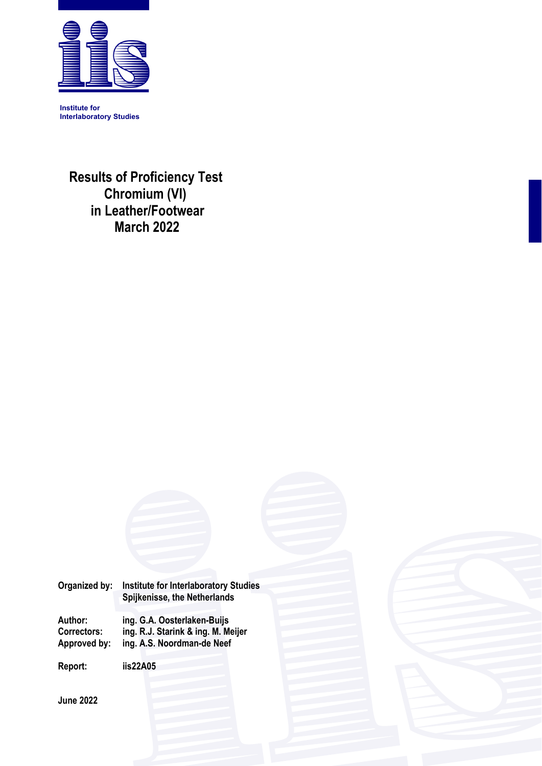

**Institute for Interlaboratory Studies** 

 **Results of Proficiency Test Chromium (VI) in Leather/Footwear March 2022** 

**Organized by: Institute for Interlaboratory Studies Spijkenisse, the Netherlands** 

**Author: ing. G.A. Oosterlaken-Buijs Correctors: ing. R.J. Starink & ing. M. Meijer**  ing. A.S. Noordman-de Neef

**Report: iis22A05** 

**June 2022**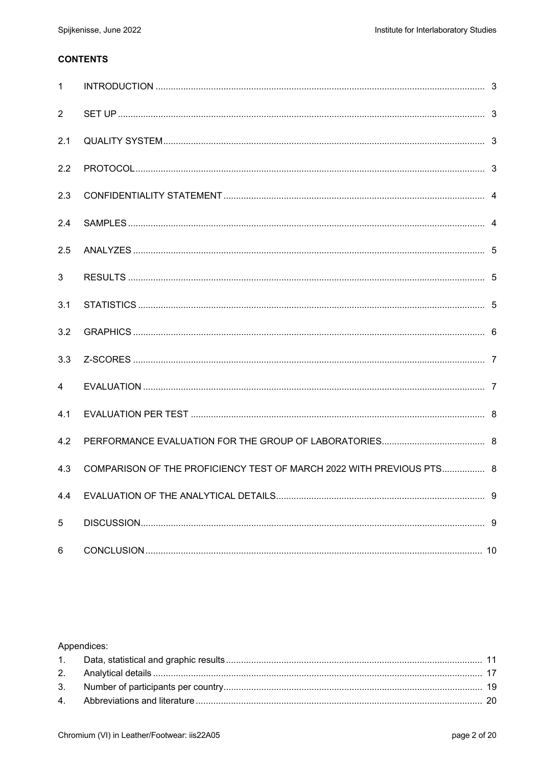### **CONTENTS**

| $\mathbf{1}$   |                                                                      |  |
|----------------|----------------------------------------------------------------------|--|
| $\overline{2}$ |                                                                      |  |
| 2.1            |                                                                      |  |
| 2.2            |                                                                      |  |
| 2.3            |                                                                      |  |
| 2.4            |                                                                      |  |
| 2.5            |                                                                      |  |
| 3              |                                                                      |  |
| 3.1            |                                                                      |  |
| 3.2            |                                                                      |  |
| 3.3            |                                                                      |  |
| $\overline{4}$ |                                                                      |  |
| 4.1            |                                                                      |  |
| 4.2            |                                                                      |  |
| 4.3            | COMPARISON OF THE PROFICIENCY TEST OF MARCH 2022 WITH PREVIOUS PTS 8 |  |
| 4.4            |                                                                      |  |
| 5              |                                                                      |  |
| 6              |                                                                      |  |

# Appendices: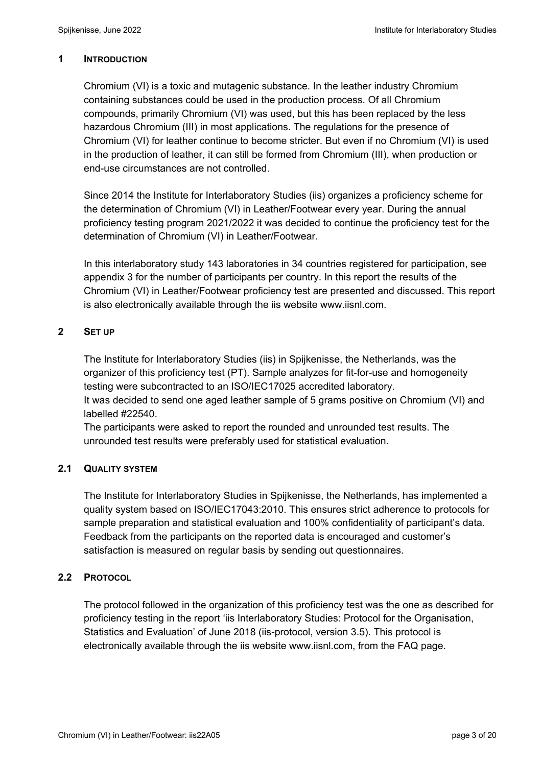#### **1 INTRODUCTION**

Chromium (VI) is a toxic and mutagenic substance. In the leather industry Chromium containing substances could be used in the production process. Of all Chromium compounds, primarily Chromium (VI) was used, but this has been replaced by the less hazardous Chromium (III) in most applications. The regulations for the presence of Chromium (VI) for leather continue to become stricter. But even if no Chromium (VI) is used in the production of leather, it can still be formed from Chromium (III), when production or end-use circumstances are not controlled.

Since 2014 the Institute for Interlaboratory Studies (iis) organizes a proficiency scheme for the determination of Chromium (VI) in Leather/Footwear every year. During the annual proficiency testing program 2021/2022 it was decided to continue the proficiency test for the determination of Chromium (VI) in Leather/Footwear.

In this interlaboratory study 143 laboratories in 34 countries registered for participation, see appendix 3 for the number of participants per country. In this report the results of the Chromium (VI) in Leather/Footwear proficiency test are presented and discussed. This report is also electronically available through the iis website www.iisnl.com.

# **2 SET UP**

The Institute for Interlaboratory Studies (iis) in Spijkenisse, the Netherlands, was the organizer of this proficiency test (PT). Sample analyzes for fit-for-use and homogeneity testing were subcontracted to an ISO/IEC17025 accredited laboratory.

It was decided to send one aged leather sample of 5 grams positive on Chromium (VI) and labelled #22540.

The participants were asked to report the rounded and unrounded test results. The unrounded test results were preferably used for statistical evaluation.

# **2.1 QUALITY SYSTEM**

The Institute for Interlaboratory Studies in Spijkenisse, the Netherlands, has implemented a quality system based on ISO/IEC17043:2010. This ensures strict adherence to protocols for sample preparation and statistical evaluation and 100% confidentiality of participant's data. Feedback from the participants on the reported data is encouraged and customer's satisfaction is measured on regular basis by sending out questionnaires.

# **2.2 PROTOCOL**

The protocol followed in the organization of this proficiency test was the one as described for proficiency testing in the report 'iis Interlaboratory Studies: Protocol for the Organisation, Statistics and Evaluation' of June 2018 (iis-protocol, version 3.5). This protocol is electronically available through the iis website www.iisnl.com, from the FAQ page.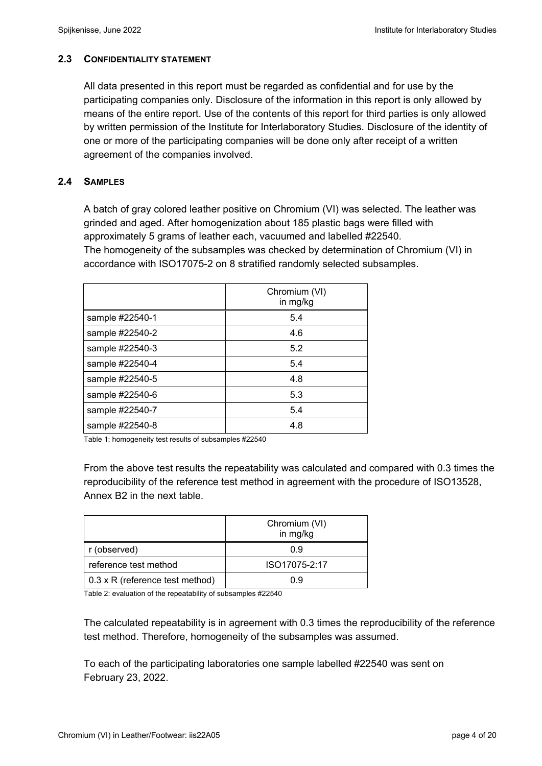# **2.3 CONFIDENTIALITY STATEMENT**

All data presented in this report must be regarded as confidential and for use by the participating companies only. Disclosure of the information in this report is only allowed by means of the entire report. Use of the contents of this report for third parties is only allowed by written permission of the Institute for Interlaboratory Studies. Disclosure of the identity of one or more of the participating companies will be done only after receipt of a written agreement of the companies involved.

# **2.4 SAMPLES**

A batch of gray colored leather positive on Chromium (VI) was selected. The leather was grinded and aged. After homogenization about 185 plastic bags were filled with approximately 5 grams of leather each, vacuumed and labelled #22540. The homogeneity of the subsamples was checked by determination of Chromium (VI) in accordance with ISO17075-2 on 8 stratified randomly selected subsamples.

|                 | Chromium (VI)<br>in mg/kg |
|-----------------|---------------------------|
| sample #22540-1 | 5.4                       |
| sample #22540-2 | 4.6                       |
| sample #22540-3 | 5.2                       |
| sample #22540-4 | 5.4                       |
| sample #22540-5 | 4.8                       |
| sample #22540-6 | 5.3                       |
| sample #22540-7 | 5.4                       |
| sample #22540-8 | 4.8                       |

Table 1: homogeneity test results of subsamples #22540

From the above test results the repeatability was calculated and compared with 0.3 times the reproducibility of the reference test method in agreement with the procedure of ISO13528, Annex B2 in the next table.

|                                        | Chromium (VI)<br>in mg/kg |
|----------------------------------------|---------------------------|
| r (observed)                           | 0.9                       |
| reference test method                  | ISO17075-2:17             |
| $0.3 \times R$ (reference test method) | Ո 9                       |

Table 2: evaluation of the repeatability of subsamples #22540

The calculated repeatability is in agreement with 0.3 times the reproducibility of the reference test method. Therefore, homogeneity of the subsamples was assumed.

To each of the participating laboratories one sample labelled #22540 was sent on February 23, 2022.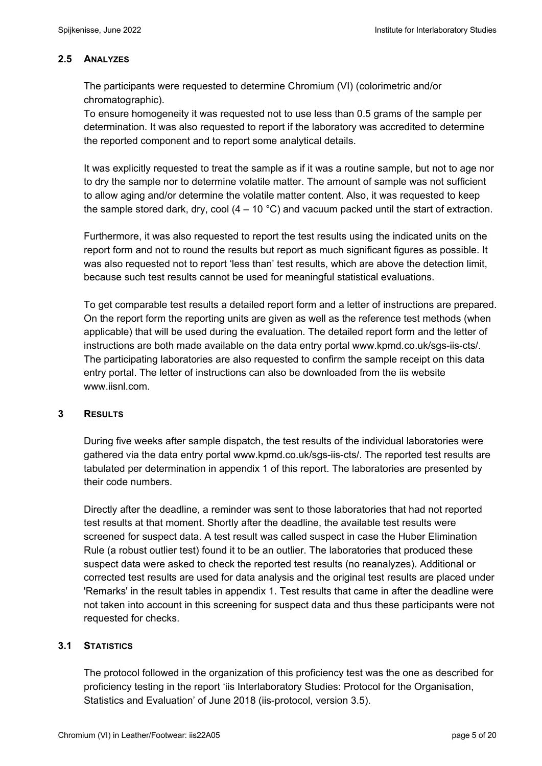#### **2.5 ANALYZES**

The participants were requested to determine Chromium (VI) (colorimetric and/or chromatographic).

To ensure homogeneity it was requested not to use less than 0.5 grams of the sample per determination. It was also requested to report if the laboratory was accredited to determine the reported component and to report some analytical details.

It was explicitly requested to treat the sample as if it was a routine sample, but not to age nor to dry the sample nor to determine volatile matter. The amount of sample was not sufficient to allow aging and/or determine the volatile matter content. Also, it was requested to keep the sample stored dark, dry, cool  $(4 - 10 \degree C)$  and vacuum packed until the start of extraction.

Furthermore, it was also requested to report the test results using the indicated units on the report form and not to round the results but report as much significant figures as possible. It was also requested not to report 'less than' test results, which are above the detection limit, because such test results cannot be used for meaningful statistical evaluations.

To get comparable test results a detailed report form and a letter of instructions are prepared. On the report form the reporting units are given as well as the reference test methods (when applicable) that will be used during the evaluation. The detailed report form and the letter of instructions are both made available on the data entry portal www.kpmd.co.uk/sgs-iis-cts/. The participating laboratories are also requested to confirm the sample receipt on this data entry portal. The letter of instructions can also be downloaded from the iis website www.jisnl.com

#### **3 RESULTS**

During five weeks after sample dispatch, the test results of the individual laboratories were gathered via the data entry portal www.kpmd.co.uk/sgs-iis-cts/. The reported test results are tabulated per determination in appendix 1 of this report. The laboratories are presented by their code numbers.

Directly after the deadline, a reminder was sent to those laboratories that had not reported test results at that moment. Shortly after the deadline, the available test results were screened for suspect data. A test result was called suspect in case the Huber Elimination Rule (a robust outlier test) found it to be an outlier. The laboratories that produced these suspect data were asked to check the reported test results (no reanalyzes). Additional or corrected test results are used for data analysis and the original test results are placed under 'Remarks' in the result tables in appendix 1. Test results that came in after the deadline were not taken into account in this screening for suspect data and thus these participants were not requested for checks.

#### **3.1 STATISTICS**

The protocol followed in the organization of this proficiency test was the one as described for proficiency testing in the report 'iis Interlaboratory Studies: Protocol for the Organisation, Statistics and Evaluation' of June 2018 (iis-protocol, version 3.5).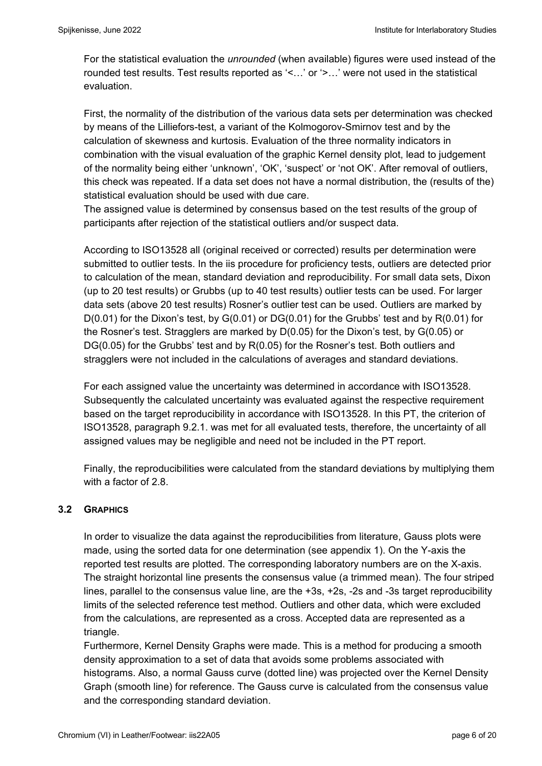For the statistical evaluation the *unrounded* (when available) figures were used instead of the rounded test results. Test results reported as '<…' or '>…' were not used in the statistical evaluation.

First, the normality of the distribution of the various data sets per determination was checked by means of the Lilliefors-test, a variant of the Kolmogorov-Smirnov test and by the calculation of skewness and kurtosis. Evaluation of the three normality indicators in combination with the visual evaluation of the graphic Kernel density plot, lead to judgement of the normality being either 'unknown', 'OK', 'suspect' or 'not OK'. After removal of outliers, this check was repeated. If a data set does not have a normal distribution, the (results of the) statistical evaluation should be used with due care.

The assigned value is determined by consensus based on the test results of the group of participants after rejection of the statistical outliers and/or suspect data.

According to ISO13528 all (original received or corrected) results per determination were submitted to outlier tests. In the iis procedure for proficiency tests, outliers are detected prior to calculation of the mean, standard deviation and reproducibility. For small data sets, Dixon (up to 20 test results) or Grubbs (up to 40 test results) outlier tests can be used. For larger data sets (above 20 test results) Rosner's outlier test can be used. Outliers are marked by  $D(0.01)$  for the Dixon's test, by  $G(0.01)$  or  $DG(0.01)$  for the Grubbs' test and by  $R(0.01)$  for the Rosner's test. Stragglers are marked by D(0.05) for the Dixon's test, by G(0.05) or DG(0.05) for the Grubbs' test and by R(0.05) for the Rosner's test. Both outliers and stragglers were not included in the calculations of averages and standard deviations.

For each assigned value the uncertainty was determined in accordance with ISO13528. Subsequently the calculated uncertainty was evaluated against the respective requirement based on the target reproducibility in accordance with ISO13528. In this PT, the criterion of ISO13528, paragraph 9.2.1. was met for all evaluated tests, therefore, the uncertainty of all assigned values may be negligible and need not be included in the PT report.

Finally, the reproducibilities were calculated from the standard deviations by multiplying them with a factor of 2.8.

# **3.2 GRAPHICS**

In order to visualize the data against the reproducibilities from literature, Gauss plots were made, using the sorted data for one determination (see appendix 1). On the Y-axis the reported test results are plotted. The corresponding laboratory numbers are on the X-axis. The straight horizontal line presents the consensus value (a trimmed mean). The four striped lines, parallel to the consensus value line, are the +3s, +2s, -2s and -3s target reproducibility limits of the selected reference test method. Outliers and other data, which were excluded from the calculations, are represented as a cross. Accepted data are represented as a triangle.

Furthermore, Kernel Density Graphs were made. This is a method for producing a smooth density approximation to a set of data that avoids some problems associated with histograms. Also, a normal Gauss curve (dotted line) was projected over the Kernel Density Graph (smooth line) for reference. The Gauss curve is calculated from the consensus value and the corresponding standard deviation.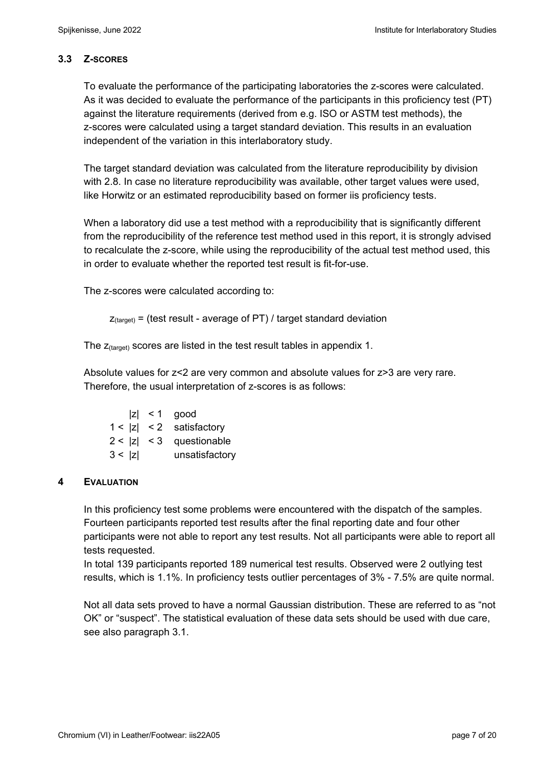# **3.3 Z-SCORES**

To evaluate the performance of the participating laboratories the z-scores were calculated. As it was decided to evaluate the performance of the participants in this proficiency test (PT) against the literature requirements (derived from e.g. ISO or ASTM test methods), the z-scores were calculated using a target standard deviation. This results in an evaluation independent of the variation in this interlaboratory study.

The target standard deviation was calculated from the literature reproducibility by division with 2.8. In case no literature reproducibility was available, other target values were used, like Horwitz or an estimated reproducibility based on former iis proficiency tests.

When a laboratory did use a test method with a reproducibility that is significantly different from the reproducibility of the reference test method used in this report, it is strongly advised to recalculate the z-score, while using the reproducibility of the actual test method used, this in order to evaluate whether the reported test result is fit-for-use.

The z-scores were calculated according to:

```
Z_{\text{target}} = (test result - average of PT) / target standard deviation
```
The  $z_{\text{(target)}}$  scores are listed in the test result tables in appendix 1.

Absolute values for z<2 are very common and absolute values for z>3 are very rare. Therefore, the usual interpretation of z-scores is as follows:

|        | $ z  < 1$ good             |
|--------|----------------------------|
|        | $1 <  z  < 2$ satisfactory |
|        | $2 <  z  < 3$ questionable |
| 3 <  z | unsatisfactory             |

# **4 EVALUATION**

In this proficiency test some problems were encountered with the dispatch of the samples. Fourteen participants reported test results after the final reporting date and four other participants were not able to report any test results. Not all participants were able to report all tests requested.

In total 139 participants reported 189 numerical test results. Observed were 2 outlying test results, which is 1.1%. In proficiency tests outlier percentages of 3% - 7.5% are quite normal.

Not all data sets proved to have a normal Gaussian distribution. These are referred to as "not OK" or "suspect". The statistical evaluation of these data sets should be used with due care, see also paragraph 3.1.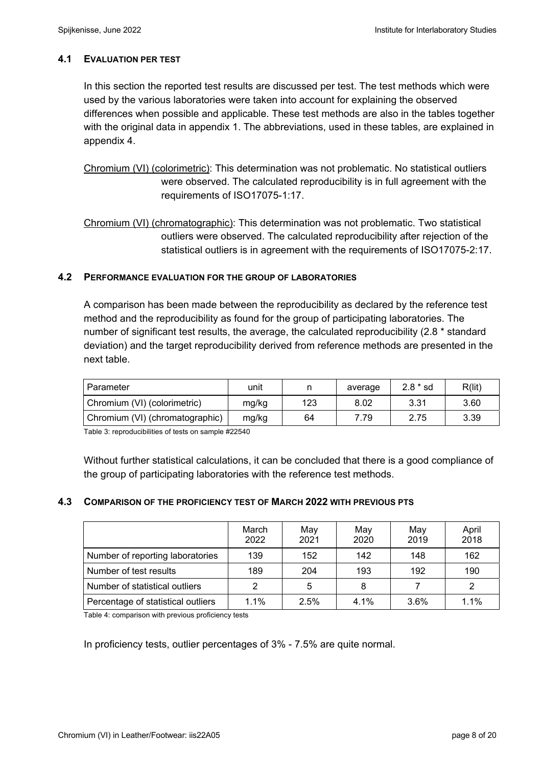### **4.1 EVALUATION PER TEST**

In this section the reported test results are discussed per test. The test methods which were used by the various laboratories were taken into account for explaining the observed differences when possible and applicable. These test methods are also in the tables together with the original data in appendix 1. The abbreviations, used in these tables, are explained in appendix 4.

Chromium (VI) (colorimetric): This determination was not problematic. No statistical outliers were observed. The calculated reproducibility is in full agreement with the requirements of ISO17075-1:17.

Chromium (VI) (chromatographic): This determination was not problematic. Two statistical outliers were observed. The calculated reproducibility after rejection of the statistical outliers is in agreement with the requirements of ISO17075-2:17.

#### **4.2 PERFORMANCE EVALUATION FOR THE GROUP OF LABORATORIES**

A comparison has been made between the reproducibility as declared by the reference test method and the reproducibility as found for the group of participating laboratories. The number of significant test results, the average, the calculated reproducibility (2.8 \* standard deviation) and the target reproducibility derived from reference methods are presented in the next table.

| Parameter                       | unit  |     | average | $2.8 * sd$ | R(lit) |
|---------------------------------|-------|-----|---------|------------|--------|
| Chromium (VI) (colorimetric)    | mg/kg | 123 | 8.02    | 3.31       | 3.60   |
| Chromium (VI) (chromatographic) | mg/kg | 64  | 7.79    | 2.75       | 3.39   |

Table 3: reproducibilities of tests on sample #22540

Without further statistical calculations, it can be concluded that there is a good compliance of the group of participating laboratories with the reference test methods.

#### **4.3 COMPARISON OF THE PROFICIENCY TEST OF MARCH 2022 WITH PREVIOUS PTS**

|                                    | March<br>2022 | May<br>2021 | May<br>2020 | May<br>2019 | April<br>2018 |
|------------------------------------|---------------|-------------|-------------|-------------|---------------|
| Number of reporting laboratories   | 139           | 152         | 142         | 148         | 162           |
| Number of test results             | 189           | 204         | 193         | 192         | 190           |
| Number of statistical outliers     |               | 5           | 8           |             |               |
| Percentage of statistical outliers | 1.1%          | 2.5%        | 4.1%        | 3.6%        | 1.1%          |

Table 4: comparison with previous proficiency tests

In proficiency tests, outlier percentages of 3% - 7.5% are quite normal.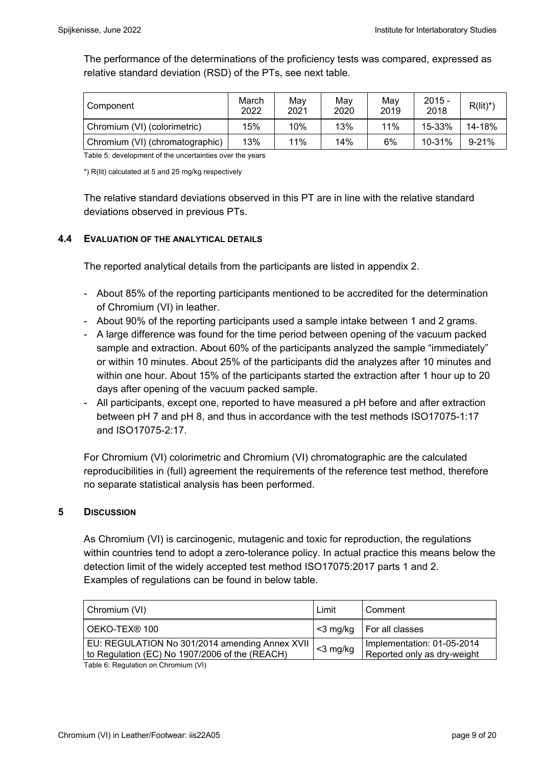The performance of the determinations of the proficiency tests was compared, expressed as relative standard deviation (RSD) of the PTs, see next table.

| Component                       | March<br>2022 | Mav<br>2021 | May<br>2020 | May<br>2019 | $2015 -$<br>2018 | $R(lit)^*)$ |
|---------------------------------|---------------|-------------|-------------|-------------|------------------|-------------|
| Chromium (VI) (colorimetric)    | 15%           | 10%         | 13%         | 11%         | 15-33%           | 14-18%      |
| Chromium (VI) (chromatographic) | 13%           | 11%         | 14%         | 6%          | 10-31%           | 9-21%       |

Table 5: development of the uncertainties over the years

\*) R(lit) calculated at 5 and 25 mg/kg respectively

The relative standard deviations observed in this PT are in line with the relative standard deviations observed in previous PTs.

#### **4.4 EVALUATION OF THE ANALYTICAL DETAILS**

The reported analytical details from the participants are listed in appendix 2.

- About 85% of the reporting participants mentioned to be accredited for the determination of Chromium (VI) in leather.
- About 90% of the reporting participants used a sample intake between 1 and 2 grams.
- A large difference was found for the time period between opening of the vacuum packed sample and extraction. About 60% of the participants analyzed the sample "immediately" or within 10 minutes. About 25% of the participants did the analyzes after 10 minutes and within one hour. About 15% of the participants started the extraction after 1 hour up to 20 days after opening of the vacuum packed sample.
- All participants, except one, reported to have measured a pH before and after extraction between pH 7 and pH 8, and thus in accordance with the test methods ISO17075-1:17 and ISO17075-2:17.

For Chromium (VI) colorimetric and Chromium (VI) chromatographic are the calculated reproducibilities in (full) agreement the requirements of the reference test method, therefore no separate statistical analysis has been performed.

#### **5 DISCUSSION**

As Chromium (VI) is carcinogenic, mutagenic and toxic for reproduction, the regulations within countries tend to adopt a zero-tolerance policy. In actual practice this means below the detection limit of the widely accepted test method ISO17075:2017 parts 1 and 2. Examples of regulations can be found in below table.

| Chromium (VI)                                                                                    | Limit       | Comment                                                   |
|--------------------------------------------------------------------------------------------------|-------------|-----------------------------------------------------------|
| OEKO-TEX <sup>®</sup> 100                                                                        |             | $\leq$ 3 mg/kg   For all classes                          |
| EU: REGULATION No 301/2014 amending Annex XVII<br>to Regulation (EC) No 1907/2006 of the (REACH) | $<$ 3 mg/kg | Implementation: 01-05-2014<br>Reported only as dry-weight |

Table 6: Regulation on Chromium (VI)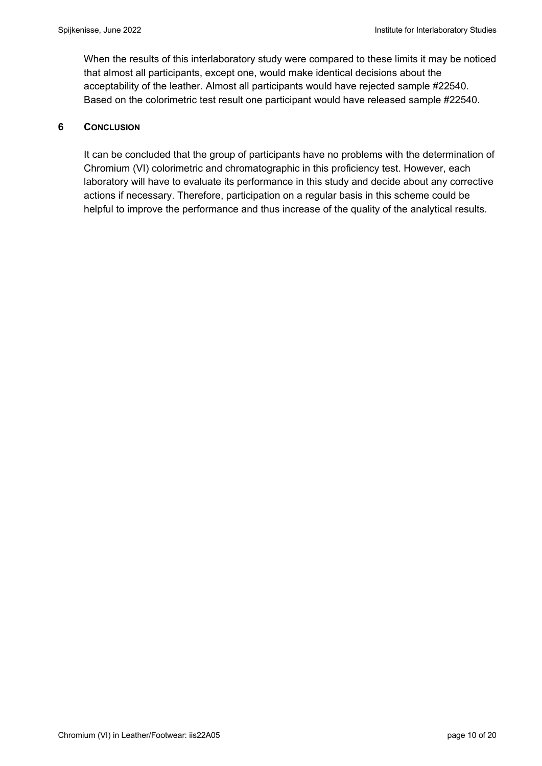When the results of this interlaboratory study were compared to these limits it may be noticed that almost all participants, except one, would make identical decisions about the acceptability of the leather. Almost all participants would have rejected sample #22540. Based on the colorimetric test result one participant would have released sample #22540.

#### **6 CONCLUSION**

It can be concluded that the group of participants have no problems with the determination of Chromium (VI) colorimetric and chromatographic in this proficiency test. However, each laboratory will have to evaluate its performance in this study and decide about any corrective actions if necessary. Therefore, participation on a regular basis in this scheme could be helpful to improve the performance and thus increase of the quality of the analytical results.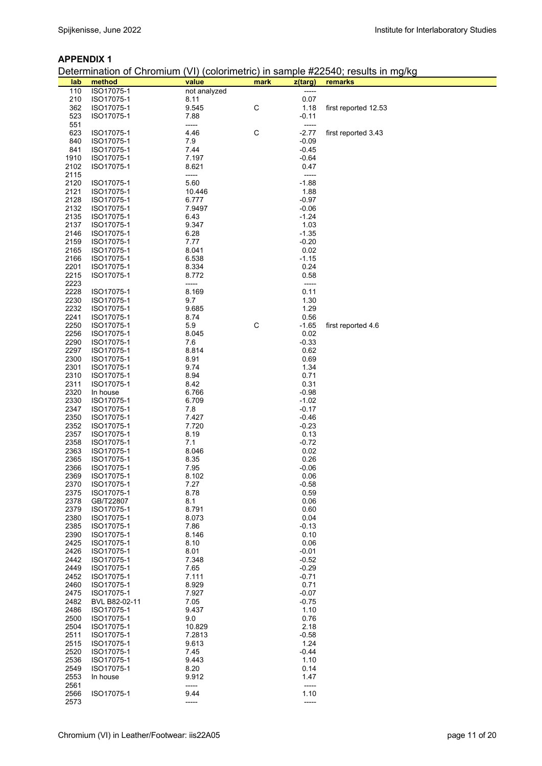#### **APPENDIX 1**

# Determination of Chromium (VI) (colorimetric) in sample #22540; results in mg/kg

|      |               |              |             |         | Determination of Chromain (VT) (Coloninetric) in Sample #22040, results in my/Ny |
|------|---------------|--------------|-------------|---------|----------------------------------------------------------------------------------|
| lab  | method        | value        | mark        | z(targ) | remarks                                                                          |
| 110  | ISO17075-1    | not analyzed |             | -----   |                                                                                  |
| 210  | ISO17075-1    | 8.11         |             | 0.07    |                                                                                  |
| 362  | ISO17075-1    | 9.545        | $\mathsf C$ | 1.18    | first reported 12.53                                                             |
| 523  | ISO17075-1    | 7.88         |             | $-0.11$ |                                                                                  |
| 551  |               | -----        |             | -----   |                                                                                  |
|      |               |              |             |         |                                                                                  |
| 623  | ISO17075-1    | 4.46         | $\mathsf C$ | $-2.77$ | first reported 3.43                                                              |
| 840  | ISO17075-1    | 7.9          |             | $-0.09$ |                                                                                  |
| 841  | ISO17075-1    | 7.44         |             | $-0.45$ |                                                                                  |
| 1910 | ISO17075-1    | 7.197        |             | -0.64   |                                                                                  |
| 2102 | ISO17075-1    | 8.621        |             | 0.47    |                                                                                  |
| 2115 |               | -----        |             | -----   |                                                                                  |
| 2120 | ISO17075-1    | 5.60         |             | $-1.88$ |                                                                                  |
|      |               |              |             |         |                                                                                  |
| 2121 | ISO17075-1    | 10.446       |             | 1.88    |                                                                                  |
| 2128 | ISO17075-1    | 6.777        |             | $-0.97$ |                                                                                  |
| 2132 | ISO17075-1    | 7.9497       |             | $-0.06$ |                                                                                  |
| 2135 | ISO17075-1    | 6.43         |             | $-1.24$ |                                                                                  |
| 2137 | ISO17075-1    | 9.347        |             | 1.03    |                                                                                  |
| 2146 | ISO17075-1    | 6.28         |             | $-1.35$ |                                                                                  |
| 2159 | ISO17075-1    | 7.77         |             | $-0.20$ |                                                                                  |
|      |               |              |             |         |                                                                                  |
| 2165 | ISO17075-1    | 8.041        |             | 0.02    |                                                                                  |
| 2166 | ISO17075-1    | 6.538        |             | $-1.15$ |                                                                                  |
| 2201 | ISO17075-1    | 8.334        |             | 0.24    |                                                                                  |
| 2215 | ISO17075-1    | 8.772        |             | 0.58    |                                                                                  |
| 2223 |               | -----        |             | -----   |                                                                                  |
| 2228 | ISO17075-1    | 8.169        |             | 0.11    |                                                                                  |
| 2230 | ISO17075-1    | 9.7          |             | 1.30    |                                                                                  |
|      |               |              |             |         |                                                                                  |
| 2232 | ISO17075-1    | 9.685        |             | 1.29    |                                                                                  |
| 2241 | ISO17075-1    | 8.74         |             | 0.56    |                                                                                  |
| 2250 | ISO17075-1    | 5.9          | $\mathsf C$ | $-1.65$ | first reported 4.6                                                               |
| 2256 | ISO17075-1    | 8.045        |             | 0.02    |                                                                                  |
| 2290 | ISO17075-1    | 7.6          |             | $-0.33$ |                                                                                  |
| 2297 | ISO17075-1    | 8.814        |             | 0.62    |                                                                                  |
| 2300 | ISO17075-1    | 8.91         |             | 0.69    |                                                                                  |
|      |               |              |             |         |                                                                                  |
| 2301 | ISO17075-1    | 9.74         |             | 1.34    |                                                                                  |
| 2310 | ISO17075-1    | 8.94         |             | 0.71    |                                                                                  |
| 2311 | ISO17075-1    | 8.42         |             | 0.31    |                                                                                  |
| 2320 | In house      | 6.766        |             | -0.98   |                                                                                  |
| 2330 | ISO17075-1    | 6.709        |             | $-1.02$ |                                                                                  |
| 2347 | ISO17075-1    | 7.8          |             | $-0.17$ |                                                                                  |
| 2350 | ISO17075-1    | 7.427        |             | $-0.46$ |                                                                                  |
| 2352 | ISO17075-1    | 7.720        |             | $-0.23$ |                                                                                  |
|      | ISO17075-1    |              |             | 0.13    |                                                                                  |
| 2357 |               | 8.19         |             |         |                                                                                  |
| 2358 | ISO17075-1    | 7.1          |             | $-0.72$ |                                                                                  |
| 2363 | ISO17075-1    | 8.046        |             | 0.02    |                                                                                  |
| 2365 | ISO17075-1    | 8.35         |             | 0.26    |                                                                                  |
| 2366 | ISO17075-1    | 7.95         |             | $-0.06$ |                                                                                  |
| 2369 | ISO17075-1    | 8.102        |             | 0.06    |                                                                                  |
| 2370 | ISO17075-1    | 7.27         |             | $-0.58$ |                                                                                  |
| 2375 | ISO17075-1    | 8.78         |             | 0.59    |                                                                                  |
|      |               |              |             |         |                                                                                  |
| 2378 | GB/T22807     | 8.1          |             | 0.06    |                                                                                  |
| 2379 | ISO17075-1    | 8.791        |             | 0.60    |                                                                                  |
| 2380 | ISO17075-1    | 8.073        |             | 0.04    |                                                                                  |
| 2385 | ISO17075-1    | 7.86         |             | $-0.13$ |                                                                                  |
| 2390 | ISO17075-1    | 8.146        |             | 0.10    |                                                                                  |
| 2425 | ISO17075-1    | 8.10         |             | 0.06    |                                                                                  |
| 2426 | ISO17075-1    | 8.01         |             | $-0.01$ |                                                                                  |
| 2442 | ISO17075-1    | 7.348        |             | $-0.52$ |                                                                                  |
|      |               |              |             |         |                                                                                  |
| 2449 | ISO17075-1    | 7.65         |             | $-0.29$ |                                                                                  |
| 2452 | ISO17075-1    | 7.111        |             | $-0.71$ |                                                                                  |
| 2460 | ISO17075-1    | 8.929        |             | 0.71    |                                                                                  |
| 2475 | ISO17075-1    | 7.927        |             | $-0.07$ |                                                                                  |
| 2482 | BVL B82-02-11 | 7.05         |             | $-0.75$ |                                                                                  |
| 2486 | ISO17075-1    | 9.437        |             | 1.10    |                                                                                  |
| 2500 | ISO17075-1    | 9.0          |             | 0.76    |                                                                                  |
| 2504 | ISO17075-1    | 10.829       |             | 2.18    |                                                                                  |
|      |               |              |             |         |                                                                                  |
| 2511 | ISO17075-1    | 7.2813       |             | $-0.58$ |                                                                                  |
| 2515 | ISO17075-1    | 9.613        |             | 1.24    |                                                                                  |
| 2520 | ISO17075-1    | 7.45         |             | $-0.44$ |                                                                                  |
| 2536 | ISO17075-1    | 9.443        |             | 1.10    |                                                                                  |
| 2549 | ISO17075-1    | 8.20         |             | 0.14    |                                                                                  |
| 2553 | In house      | 9.912        |             | 1.47    |                                                                                  |
| 2561 |               | -----        |             | -----   |                                                                                  |
| 2566 | ISO17075-1    | 9.44         |             | 1.10    |                                                                                  |
| 2573 |               |              |             |         |                                                                                  |
|      |               | -----        |             | -----   |                                                                                  |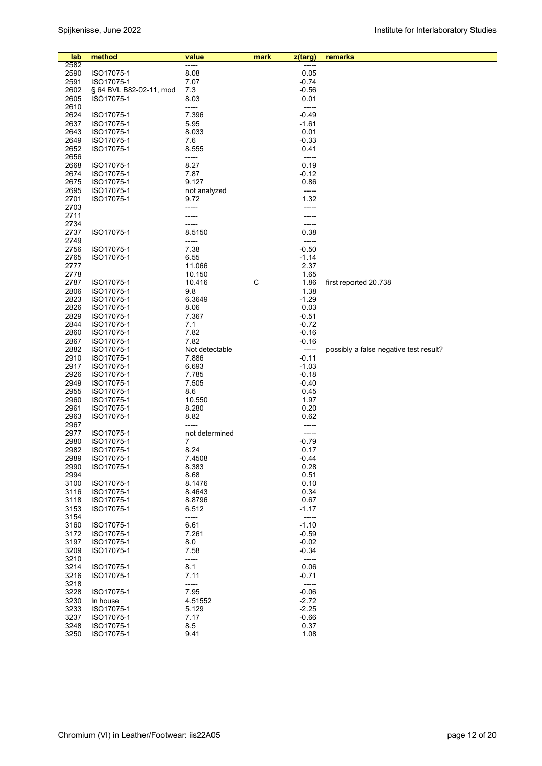| lab          | method                   | value               | mark | z(targ)            | remarks                                |
|--------------|--------------------------|---------------------|------|--------------------|----------------------------------------|
| 2582         |                          | -----               |      |                    |                                        |
| 2590         | ISO17075-1               | 8.08                |      | 0.05               |                                        |
| 2591         | ISO17075-1               | 7.07                |      | $-0.74$            |                                        |
| 2602         | § 64 BVL B82-02-11, mod  | 7.3                 |      | $-0.56$            |                                        |
| 2605         | ISO17075-1               | 8.03<br>-----       |      | 0.01               |                                        |
| 2610<br>2624 |                          | 7.396               |      | -----<br>$-0.49$   |                                        |
| 2637         | ISO17075-1<br>ISO17075-1 | 5.95                |      | $-1.61$            |                                        |
| 2643         | ISO17075-1               | 8.033               |      | 0.01               |                                        |
| 2649         | ISO17075-1               | 7.6                 |      | $-0.33$            |                                        |
| 2652         | ISO17075-1               | 8.555               |      | 0.41               |                                        |
| 2656         |                          | -----               |      | -----              |                                        |
| 2668         | ISO17075-1               | 8.27                |      | 0.19               |                                        |
| 2674         | ISO17075-1               | 7.87                |      | $-0.12$            |                                        |
| 2675         | ISO17075-1               | 9.127               |      | 0.86               |                                        |
| 2695         | ISO17075-1               | not analyzed        |      | -----              |                                        |
| 2701         | ISO17075-1               | 9.72                |      | 1.32               |                                        |
| 2703         |                          | -----               |      | -----              |                                        |
| 2711         |                          |                     |      |                    |                                        |
| 2734<br>2737 | ISO17075-1               | 8.5150              |      | 0.38               |                                        |
| 2749         |                          | -----               |      | -----              |                                        |
| 2756         | ISO17075-1               | 7.38                |      | $-0.50$            |                                        |
| 2765         | ISO17075-1               | 6.55                |      | $-1.14$            |                                        |
| 2777         |                          | 11.066              |      | 2.37               |                                        |
| 2778         |                          | 10.150              |      | 1.65               |                                        |
| 2787         | ISO17075-1               | 10.416              | C    | 1.86               | first reported 20.738                  |
| 2806         | ISO17075-1               | 9.8                 |      | 1.38               |                                        |
| 2823         | ISO17075-1               | 6.3649              |      | $-1.29$            |                                        |
| 2826         | ISO17075-1               | 8.06                |      | 0.03               |                                        |
| 2829         | ISO17075-1               | 7.367               |      | $-0.51$            |                                        |
| 2844         | ISO17075-1               | 7.1                 |      | $-0.72$            |                                        |
| 2860<br>2867 | ISO17075-1<br>ISO17075-1 | 7.82<br>7.82        |      | $-0.16$<br>$-0.16$ |                                        |
| 2882         | ISO17075-1               | Not detectable      |      | -----              | possibly a false negative test result? |
| 2910         | ISO17075-1               | 7.886               |      | $-0.11$            |                                        |
| 2917         | ISO17075-1               | 6.693               |      | $-1.03$            |                                        |
| 2926         | ISO17075-1               | 7.785               |      | $-0.18$            |                                        |
| 2949         | ISO17075-1               | 7.505               |      | $-0.40$            |                                        |
| 2955         | ISO17075-1               | 8.6                 |      | 0.45               |                                        |
| 2960         | ISO17075-1               | 10.550              |      | 1.97               |                                        |
| 2961         | ISO17075-1               | 8.280               |      | 0.20               |                                        |
| 2963         | ISO17075-1               | 8.82                |      | 0.62               |                                        |
| 2967<br>2977 | ISO17075-1               | -----               |      | -----              |                                        |
| 2980         | ISO17075-1               | not determined<br>7 |      | -----<br>-0.79     |                                        |
| 2982         | ISO17075-1               | 8.24                |      | 0.17               |                                        |
| 2989         | ISO17075-1               | 7.4508              |      | $-0.44$            |                                        |
| 2990         | ISO17075-1               | 8.383               |      | 0.28               |                                        |
| 2994         |                          | 8.68                |      | 0.51               |                                        |
| 3100         | ISO17075-1               | 8.1476              |      | 0.10               |                                        |
| 3116         | ISO17075-1               | 8.4643              |      | 0.34               |                                        |
| 3118         | ISO17075-1               | 8.8796              |      | 0.67               |                                        |
| 3153         | ISO17075-1               | 6.512               |      | $-1.17$            |                                        |
| 3154         |                          | -----               |      | -----              |                                        |
| 3160<br>3172 | ISO17075-1               | 6.61<br>7.261       |      | $-1.10$<br>$-0.59$ |                                        |
| 3197         | ISO17075-1<br>ISO17075-1 | 8.0                 |      | $-0.02$            |                                        |
| 3209         | ISO17075-1               | 7.58                |      | $-0.34$            |                                        |
| 3210         |                          | -----               |      | -----              |                                        |
| 3214         | ISO17075-1               | 8.1                 |      | 0.06               |                                        |
| 3216         | ISO17075-1               | 7.11                |      | -0.71              |                                        |
| 3218         |                          | -----               |      | -----              |                                        |
| 3228         | ISO17075-1               | 7.95                |      | $-0.06$            |                                        |
| 3230         | In house                 | 4.51552             |      | $-2.72$            |                                        |
| 3233         | ISO17075-1               | 5.129               |      | $-2.25$            |                                        |
| 3237         | ISO17075-1               | 7.17                |      | $-0.66$            |                                        |
| 3248<br>3250 | ISO17075-1<br>ISO17075-1 | 8.5<br>9.41         |      | 0.37<br>1.08       |                                        |
|              |                          |                     |      |                    |                                        |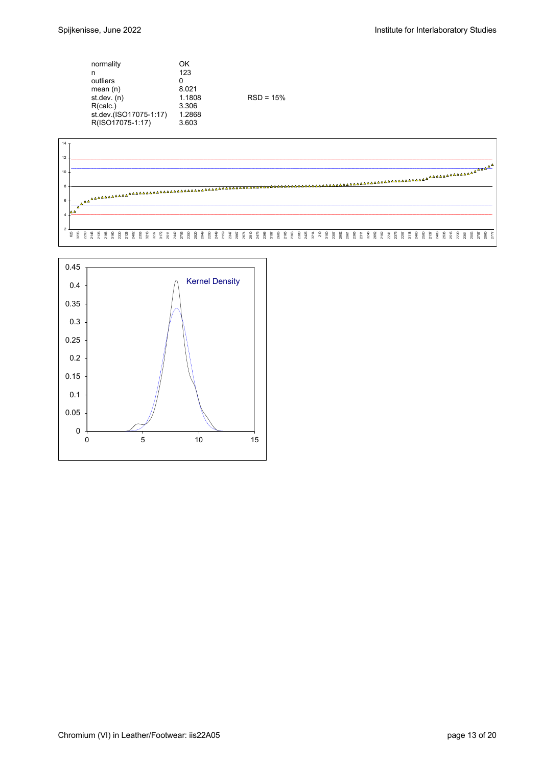| normality              | OK     |             |  |
|------------------------|--------|-------------|--|
| n                      | 123    |             |  |
| outliers               | 0      |             |  |
| mean $(n)$             | 8.021  |             |  |
| st.dev. $(n)$          | 1.1808 | $RSD = 15%$ |  |
| R(calc.)               | 3.306  |             |  |
| st.dev.(ISO17075-1:17) | 1.2868 |             |  |
| R(ISO17075-1:17)       | 3.603  |             |  |



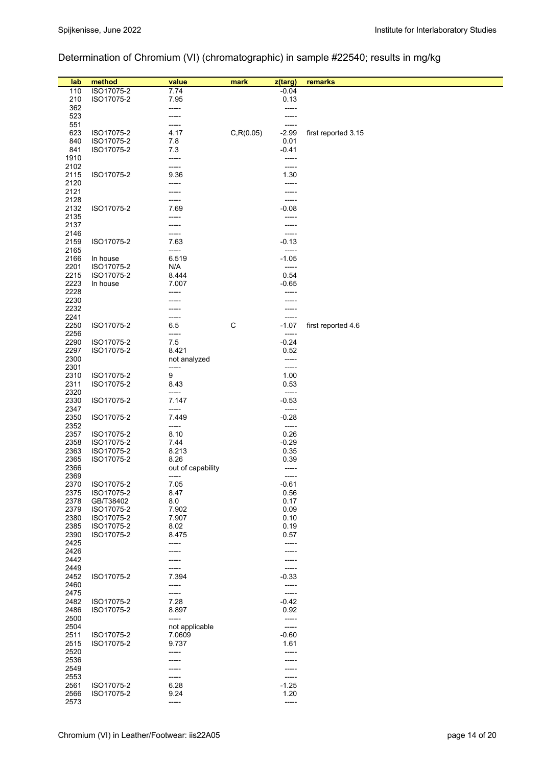# Determination of Chromium (VI) (chromatographic) in sample #22540; results in mg/kg

| lab<br>110   | method<br>ISO17075-2     | value<br>7.74     | mark       | z(targ)<br>$-0.04$ | remarks             |
|--------------|--------------------------|-------------------|------------|--------------------|---------------------|
| 210          | ISO17075-2               | 7.95              |            | 0.13               |                     |
| 362          |                          | -----             |            | -----              |                     |
| 523          |                          | -----             |            | -----              |                     |
| 551          |                          | -----             |            |                    |                     |
| 623          | ISO17075-2               | 4.17              | C, R(0.05) | $-2.99$            | first reported 3.15 |
| 840          | ISO17075-2               | 7.8               |            | 0.01               |                     |
| 841<br>1910  | ISO17075-2               | 7.3<br>-----      |            | $-0.41$<br>-----   |                     |
| 2102         |                          | -----             |            | -----              |                     |
| 2115         | ISO17075-2               | 9.36              |            | 1.30               |                     |
| 2120         |                          | -----             |            |                    |                     |
| 2121         |                          | -----             |            | ----               |                     |
| 2128         |                          | -----             |            | -----              |                     |
| 2132<br>2135 | ISO17075-2               | 7.69<br>-----     |            | $-0.08$            |                     |
| 2137         |                          | -----             |            | ----               |                     |
| 2146         |                          | -----             |            | ----               |                     |
| 2159         | ISO17075-2               | 7.63              |            | $-0.13$            |                     |
| 2165         |                          | -----             |            | -----              |                     |
| 2166         | In house                 | 6.519             |            | $-1.05$            |                     |
| 2201<br>2215 | ISO17075-2<br>ISO17075-2 | N/A<br>8.444      |            | -----<br>0.54      |                     |
| 2223         | In house                 | 7.007             |            | $-0.65$            |                     |
| 2228         |                          | -----             |            |                    |                     |
| 2230         |                          |                   |            |                    |                     |
| 2232         |                          |                   |            |                    |                     |
| 2241         |                          |                   |            |                    |                     |
| 2250<br>2256 | ISO17075-2               | 6.5<br>-----      | C          | $-1.07$<br>-----   | first reported 4.6  |
| 2290         | ISO17075-2               | 7.5               |            | $-0.24$            |                     |
| 2297         | ISO17075-2               | 8.421             |            | 0.52               |                     |
| 2300         |                          | not analyzed      |            | -----              |                     |
| 2301         |                          | -----             |            | -----              |                     |
| 2310         | ISO17075-2               | 9                 |            | 1.00               |                     |
| 2311<br>2320 | ISO17075-2               | 8.43<br>-----     |            | 0.53<br>-----      |                     |
| 2330         | ISO17075-2               | 7.147             |            | $-0.53$            |                     |
| 2347         |                          | -----             |            | -----              |                     |
| 2350         | ISO17075-2               | 7.449             |            | $-0.28$            |                     |
| 2352         |                          | -----             |            | -----              |                     |
| 2357         | ISO17075-2<br>ISO17075-2 | 8.10<br>7.44      |            | 0.26<br>$-0.29$    |                     |
| 2358<br>2363 | ISO17075-2               | 8.213             |            | 0.35               |                     |
| 2365         | ISO17075-2               | 8.26              |            | 0.39               |                     |
| 2366         |                          | out of capability |            | -----              |                     |
| 2369         |                          | -----             |            | ------             |                     |
| 2370         | ISO17075-2               | 7.05              |            | $-0.61$            |                     |
| 2375<br>2378 | ISO17075-2               | 8.47<br>8.0       |            | 0.56<br>0.17       |                     |
| 2379         | GB/T38402<br>ISO17075-2  | 7.902             |            | 0.09               |                     |
| 2380         | ISO17075-2               | 7.907             |            | 0.10               |                     |
| 2385         | ISO17075-2               | 8.02              |            | 0.19               |                     |
| 2390         | ISO17075-2               | 8.475             |            | 0.57               |                     |
| 2425         |                          | -----             |            | -----              |                     |
| 2426<br>2442 |                          |                   |            |                    |                     |
| 2449         |                          |                   |            | -----              |                     |
| 2452         | ISO17075-2               | 7.394             |            | $-0.33$            |                     |
| 2460         |                          | -----             |            | -----              |                     |
| 2475         |                          |                   |            | -----              |                     |
| 2482<br>2486 | ISO17075-2               | 7.28<br>8.897     |            | $-0.42$<br>0.92    |                     |
| 2500         | ISO17075-2               | -----             |            | -----              |                     |
| 2504         |                          | not applicable    |            | -----              |                     |
| 2511         | ISO17075-2               | 7.0609            |            | $-0.60$            |                     |
| 2515         | ISO17075-2               | 9.737             |            | 1.61               |                     |
| 2520         |                          | -----             |            |                    |                     |
| 2536         |                          |                   |            |                    |                     |
| 2549<br>2553 |                          | -----             |            |                    |                     |
| 2561         | ISO17075-2               | 6.28              |            | $-1.25$            |                     |
| 2566         | ISO17075-2               | 9.24              |            | 1.20               |                     |
| 2573         |                          | -----             |            | -----              |                     |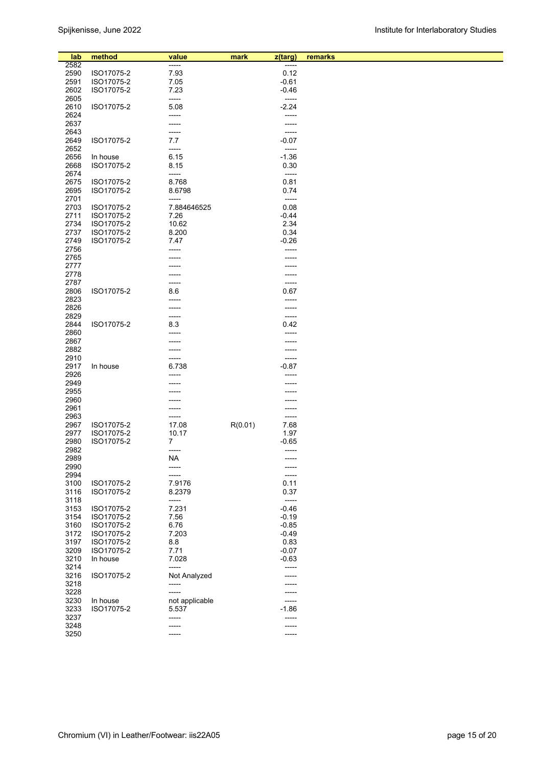| lab  | method     | value          | mark    |                  | remarks |
|------|------------|----------------|---------|------------------|---------|
| 2582 |            | -----          |         | z(targ)<br>----- |         |
|      |            |                |         | 0.12             |         |
| 2590 | ISO17075-2 | 7.93           |         |                  |         |
| 2591 | ISO17075-2 | 7.05           |         | $-0.61$          |         |
| 2602 | ISO17075-2 | 7.23           |         | $-0.46$          |         |
| 2605 |            | -----          |         | $-----$          |         |
| 2610 | ISO17075-2 | 5.08           |         | $-2.24$          |         |
| 2624 |            | -----          |         |                  |         |
| 2637 |            |                |         |                  |         |
| 2643 |            | -----          |         | -----            |         |
| 2649 | ISO17075-2 | 7.7            |         | $-0.07$          |         |
| 2652 |            | -----          |         |                  |         |
| 2656 | In house   | 6.15           |         | $-1.36$          |         |
|      |            |                |         |                  |         |
| 2668 | ISO17075-2 | 8.15           |         | 0.30             |         |
| 2674 |            | -----          |         | -----            |         |
| 2675 | ISO17075-2 | 8.768          |         | 0.81             |         |
| 2695 | ISO17075-2 | 8.6798         |         | 0.74             |         |
| 2701 |            | -----          |         | -----            |         |
| 2703 | ISO17075-2 | 7.884646525    |         | 0.08             |         |
| 2711 | ISO17075-2 | 7.26           |         | $-0.44$          |         |
| 2734 | ISO17075-2 | 10.62          |         | 2.34             |         |
| 2737 | ISO17075-2 | 8.200          |         | 0.34             |         |
|      | ISO17075-2 |                |         |                  |         |
| 2749 |            | 7.47           |         | $-0.26$          |         |
| 2756 |            |                |         |                  |         |
| 2765 |            |                |         |                  |         |
| 2777 |            |                |         |                  |         |
| 2778 |            |                |         |                  |         |
| 2787 |            |                |         | -----            |         |
| 2806 | ISO17075-2 | 8.6            |         | 0.67             |         |
| 2823 |            |                |         |                  |         |
| 2826 |            | -----          |         | -----            |         |
|      |            |                |         |                  |         |
| 2829 |            | -----          |         | -----            |         |
| 2844 | ISO17075-2 | 8.3            |         | 0.42             |         |
| 2860 |            |                |         |                  |         |
| 2867 |            |                |         |                  |         |
| 2882 |            |                |         | -----            |         |
| 2910 |            |                |         | -----            |         |
| 2917 | In house   | 6.738          |         | $-0.87$          |         |
| 2926 |            |                |         |                  |         |
| 2949 |            |                |         |                  |         |
| 2955 |            |                |         |                  |         |
| 2960 |            |                |         |                  |         |
|      |            |                |         |                  |         |
| 2961 |            |                |         |                  |         |
| 2963 |            | -----          |         | -----            |         |
| 2967 | ISO17075-2 | 17.08          | R(0.01) | 7.68             |         |
| 2977 | ISO17075-2 | 10.17          |         | 1.97             |         |
| 2980 | ISO17075-2 | 7              |         | $-0.65$          |         |
| 2982 |            | -----          |         | -----            |         |
| 2989 |            | ΝA             |         |                  |         |
| 2990 |            | -----          |         | -----            |         |
| 2994 |            | -----          |         | -----            |         |
| 3100 | ISO17075-2 | 7.9176         |         | 0.11             |         |
|      |            |                |         |                  |         |
| 3116 | ISO17075-2 | 8.2379         |         | 0.37             |         |
| 3118 |            | -----          |         | -----            |         |
| 3153 | ISO17075-2 | 7.231          |         | $-0.46$          |         |
| 3154 | ISO17075-2 | 7.56           |         | $-0.19$          |         |
| 3160 | ISO17075-2 | 6.76           |         | $-0.85$          |         |
| 3172 | ISO17075-2 | 7.203          |         | $-0.49$          |         |
| 3197 | ISO17075-2 | 8.8            |         | 0.83             |         |
| 3209 | ISO17075-2 | 7.71           |         | $-0.07$          |         |
| 3210 | In house   | 7.028          |         | $-0.63$          |         |
|      |            |                |         |                  |         |
| 3214 |            | -----          |         | -----            |         |
| 3216 | ISO17075-2 | Not Analyzed   |         | -----            |         |
| 3218 |            | -----          |         |                  |         |
| 3228 |            | -----          |         |                  |         |
| 3230 | In house   | not applicable |         | -----            |         |
| 3233 | ISO17075-2 | 5.537          |         | $-1.86$          |         |
| 3237 |            | -----          |         | -----            |         |
| 3248 |            |                |         |                  |         |
| 3250 |            | -----          |         | -----            |         |
|      |            |                |         |                  |         |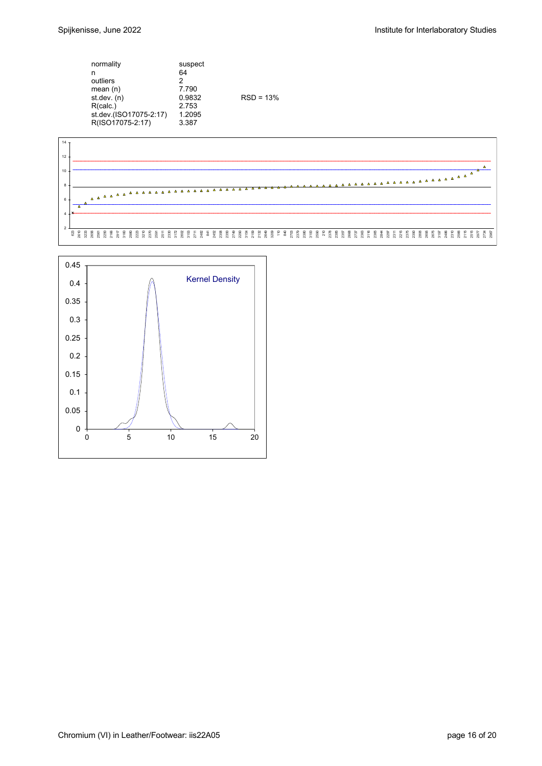| normality              | suspect |             |
|------------------------|---------|-------------|
| n                      | 64      |             |
| outliers               | 2       |             |
| mean $(n)$             | 7.790   |             |
| st. dev. (n)           | 0.9832  | $RSD = 13%$ |
| R(calc.)               | 2.753   |             |
| st.dev.(ISO17075-2:17) | 1.2095  |             |
| R(ISO17075-2:17)       | 3.387   |             |



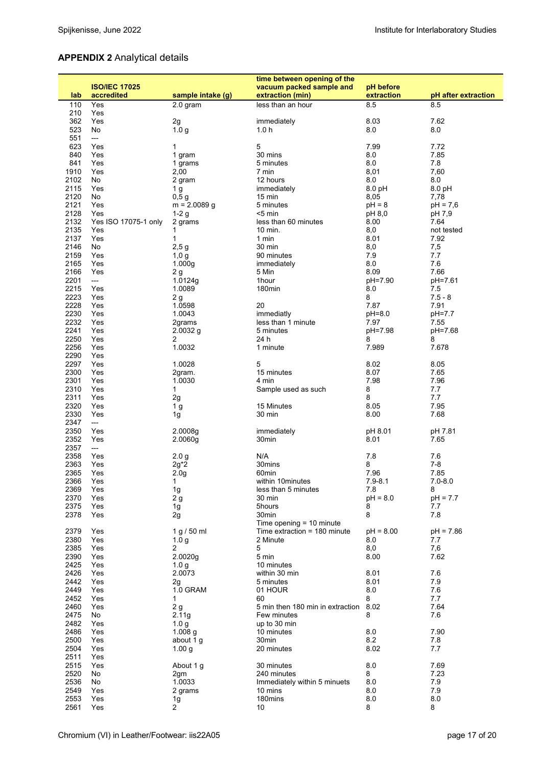# **APPENDIX 2** Analytical details

|      |                      |                   | time between opening of the      |             |                     |
|------|----------------------|-------------------|----------------------------------|-------------|---------------------|
|      | <b>ISO/IEC 17025</b> |                   | vacuum packed sample and         | pH before   |                     |
| lab  | accredited           | sample intake (g) | extraction (min)                 | extraction  | pH after extraction |
| 110  | Yes                  | 2.0 gram          | less than an hour                | 8.5         | 8.5                 |
| 210  | Yes                  |                   |                                  |             |                     |
| 362  | Yes                  | 2g                | immediately                      | 8.03        | 7.62                |
| 523  | No                   | 1.0 <sub>g</sub>  | 1.0 <sub>h</sub>                 | 8.0         | 8.0                 |
| 551  | ---                  |                   |                                  |             |                     |
| 623  | Yes                  | 1                 | 5                                | 7.99        | 7.72                |
| 840  | Yes                  | 1 gram            | 30 mins                          | 8.0         | 7.85                |
| 841  | Yes                  | 1 grams           | 5 minutes                        | 8.0         | 7.8                 |
| 1910 | Yes                  | 2,00              | 7 min                            | 8,01        | 7,60                |
| 2102 | No                   | 2 gram            | 12 hours                         | 8.0         | 8.0                 |
| 2115 | Yes                  | 1 g               | immediately                      | 8.0 pH      | 8.0 pH              |
| 2120 | No                   | 0,5g              | 15 min                           | 8,05        | 7,78                |
| 2121 | Yes                  | $m = 2.0089$ g    | 5 minutes                        | $pH = 8$    | $pH = 7,6$          |
| 2128 | Yes                  | $1-2g$            | $<$ 5 min                        | pH 8,0      | pH 7,9              |
| 2132 | Yes ISO 17075-1 only | 2 grams           | less than 60 minutes             | 8.00        | 7.64                |
| 2135 | Yes                  | 1                 | 10 min.                          | 8,0         | not tested          |
| 2137 | Yes                  | 1                 | 1 min                            | 8.01        | 7.92                |
| 2146 | No                   | 2,5g              | 30 min                           | 8,0         | 7,5                 |
| 2159 | Yes                  | 1,0 g             | 90 minutes                       | 7.9         | 7.7                 |
| 2165 | Yes                  | 1.000q            | immediately                      | 8.0         | 7.6                 |
| 2166 | Yes                  | 2g                | 5 Min                            | 8.09        | 7.66                |
| 2201 | ---                  | 1.0124g           | 1hour                            | pH=7.90     | pH=7.61             |
| 2215 | Yes                  | 1.0089            | 180min                           | 8.0         | 7.5                 |
| 2223 | Yes                  | 2 g               |                                  | 8           | $7.5 - 8$           |
| 2228 | Yes                  | 1.0598            | 20                               | 7.87        | 7.91                |
| 2230 | Yes                  | 1.0043            | immediatly                       | pH=8.0      | pH=7.7              |
| 2232 | Yes                  | 2grams            | less than 1 minute               | 7.97        | 7.55                |
| 2241 | Yes                  | $2.0032$ g        | 5 minutes                        | pH=7.98     | pH=7.68             |
| 2250 | Yes                  | 2                 | 24 h                             | 8           | 8                   |
| 2256 | Yes                  | 1.0032            | 1 minute                         | 7.989       | 7.678               |
| 2290 | Yes                  |                   |                                  |             |                     |
| 2297 | Yes                  | 1.0028            | 5                                | 8.02        | 8.05                |
| 2300 | Yes                  | 2gram.            | 15 minutes                       | 8.07        | 7.65                |
| 2301 | Yes                  | 1.0030            | 4 min                            | 7.98        | 7.96                |
| 2310 | Yes                  | 1                 | Sample used as such              | 8           | 7.7                 |
| 2311 | Yes                  | 2g                |                                  | 8           | 7.7                 |
| 2320 | Yes                  | 1 <sub>g</sub>    | 15 Minutes                       | 8.05        | 7.95                |
| 2330 | Yes                  | 1 <sub>g</sub>    | 30 min                           | 8.00        | 7.68                |
| 2347 | ---                  |                   |                                  |             |                     |
| 2350 | Yes                  | 2.0008g           | immediately                      | pH 8.01     | pH 7.81             |
| 2352 | Yes                  | 2.0060g           | 30min                            | 8.01        | 7.65                |
| 2357 | ---                  |                   |                                  |             |                     |
| 2358 | Yes                  | 2.0 <sub>g</sub>  | N/A                              | 7.8         | 7.6                 |
| 2363 | Yes                  | $2g^*2$           | 30mins                           | 8           | $7 - 8$             |
| 2365 | Yes                  | 2.0 <sub>g</sub>  | 60min                            | 7.96        | 7.85                |
| 2366 | Yes                  | 1                 | within 10minutes                 | $7.9 - 8.1$ | $7.0 - 8.0$         |
| 2369 | Yes                  | 1 <sub>g</sub>    | less than 5 minutes              | 7.8         | 8                   |
| 2370 | Yes                  | 2g                | 30 min                           | $pH = 8.0$  | $pH = 7.7$          |
| 2375 | Yes                  | 1g                | 5hours                           | 8           | 7.7                 |
| 2378 | Yes                  | 2g                | 30min                            | 8           | 7.8                 |
|      |                      |                   | Time opening $= 10$ minute       |             |                     |
| 2379 | Yes                  | 1 g / 50 ml       | Time extraction = $180$ minute   | $pH = 8.00$ | $pH = 7.86$         |
| 2380 | Yes                  | 1.0 <sub>q</sub>  | 2 Minute                         | 8.0         | 7.7                 |
| 2385 | Yes                  | 2                 | 5                                | 8,0         | 7,6                 |
| 2390 | Yes                  | 2.0020g           | 5 min                            | 8.00        | 7.62                |
| 2425 | Yes                  | 1.0 g             | 10 minutes                       |             |                     |
| 2426 | Yes                  | 2.0073            | within 30 min                    | 8.01        | 7.6                 |
| 2442 | Yes                  | 2g                | 5 minutes                        | 8.01        | 7.9                 |
| 2449 | Yes                  | 1.0 GRAM          | 01 HOUR                          | 8.0         | 7.6                 |
| 2452 | Yes                  | 1                 | 60                               | 8           | 7.7                 |
| 2460 | Yes                  | $2\,\mathrm{g}$   | 5 min then 180 min in extraction | 8.02        | 7.64                |
| 2475 | No                   | 2.11g             | Few minutes                      | 8           | 7.6                 |
| 2482 | Yes                  | 1.0 <sub>g</sub>  | up to 30 min                     |             |                     |
| 2486 | Yes                  | 1.008 $g$         | 10 minutes                       | 8.0         | 7.90                |
| 2500 | Yes                  | about 1 g         | 30min                            | 8.2         | 7.8                 |
| 2504 | Yes                  | 1.00 <sub>g</sub> | 20 minutes                       | 8.02        | 7.7                 |
| 2511 | Yes                  |                   |                                  |             |                     |
| 2515 | Yes                  | About 1 g         | 30 minutes                       | 8.0         | 7.69                |
| 2520 | No                   | 2gm               | 240 minutes                      | 8           | 7.23                |
| 2536 | No                   | 1.0033            | Immediately within 5 minuets     | 8.0         | 7.9                 |
| 2549 | Yes                  | 2 grams           | 10 mins                          | 8.0         | 7.9                 |
| 2553 | Yes                  | 1g                | 180mins                          | 8.0         | 8.0                 |
| 2561 | Yes                  | 2                 | 10                               | 8           | 8                   |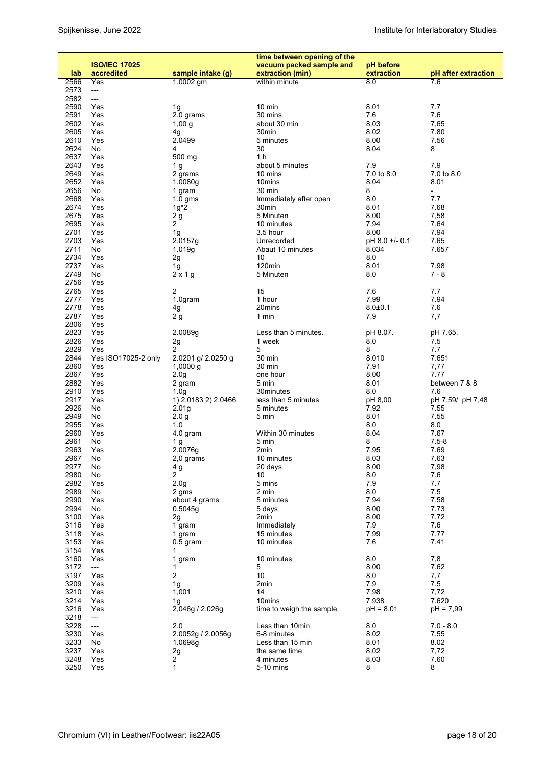|              | <b>ISO/IEC 17025</b>         |                            | time between opening of the<br>vacuum packed sample and | pH before      |                          |
|--------------|------------------------------|----------------------------|---------------------------------------------------------|----------------|--------------------------|
| lab          | accredited                   | sample intake (g)          | extraction (min)                                        | extraction     | pH after extraction      |
| 2566         | Yes                          | 1.0002 gm                  | within minute                                           | 8.0            | 7.6                      |
| 2573         | ---                          |                            |                                                         |                |                          |
| 2582<br>2590 | ---<br>Yes                   | 1g                         | 10 min                                                  | 8.01           | 7.7                      |
| 2591         | Yes                          | 2.0 grams                  | 30 mins                                                 | 7.6            | 7.6                      |
| 2602         | Yes                          | 1,00g                      | about 30 min                                            | 8,03           | 7,65                     |
| 2605         | Yes                          | 4g                         | 30min                                                   | 8.02           | 7.80                     |
| 2610         | Yes                          | 2.0499                     | 5 minutes                                               | 8.00           | 7.56                     |
| 2624<br>2637 | No                           | 4<br>500 mg                | 30<br>1 h                                               | 8.04           | 8                        |
| 2643         | Yes<br>Yes                   | 1 g                        | about 5 minutes                                         | 7.9            | 7.9                      |
| 2649         | Yes                          | 2 grams                    | 10 mins                                                 | 7.0 to 8.0     | 7.0 to 8.0               |
| 2652         | Yes                          | 1.0080g                    | 10mins                                                  | 8.04           | 8.01                     |
| 2656         | No                           | 1 gram                     | 30 min                                                  | 8              | $\overline{\phantom{0}}$ |
| 2668         | Yes                          | $1.0$ gms                  | Immediately after open                                  | 8.0            | 7.7                      |
| 2674<br>2675 | Yes<br>Yes                   | $1g^*2$                    | 30min<br>5 Minuten                                      | 8.01           | 7.68<br>7,58             |
| 2695         | Yes                          | 2 <sub>g</sub><br>2        | 10 minutes                                              | 8,00<br>7.94   | 7.64                     |
| 2701         | Yes                          | 1g                         | 3.5 hour                                                | 8.00           | 7.94                     |
| 2703         | Yes                          | 2.0157g                    | Unrecorded                                              | pH 8.0 +/- 0.1 | 7.65                     |
| 2711         | No                           | 1.019g                     | Abaut 10 minutes                                        | 8.034          | 7.657                    |
| 2734         | Yes                          | 2g                         | 10                                                      | 8,0            |                          |
| 2737<br>2749 | Yes<br>No                    | 1g<br>$2 \times 1$ g       | 120min<br>5 Minuten                                     | 8.01<br>8.0    | 7.98<br>$7 - 8$          |
| 2756         | Yes                          |                            |                                                         |                |                          |
| 2765         | Yes                          | 2                          | 15                                                      | 7.6            | 7.7                      |
| 2777         | Yes                          | 1.0gram                    | 1 hour                                                  | 7.99           | 7.94                     |
| 2778         | Yes                          | 4g                         | 20mins                                                  | $8.0 + 0.1$    | 7.6                      |
| 2787         | Yes                          | 2g                         | 1 min                                                   | 7,9            | 7,7                      |
| 2806<br>2823 | Yes<br>Yes                   | 2.0089g                    | Less than 5 minutes.                                    | pH 8.07.       | pH 7.65.                 |
| 2826         | Yes                          | 2g                         | 1 week                                                  | 8.0            | 7.5                      |
| 2829         | Yes                          | 2                          | 5                                                       | 8              | 7.7                      |
| 2844         | Yes ISO17025-2 only          | 2.0201 g/ 2.0250 g         | 30 min                                                  | 8.010          | 7.651                    |
| 2860         | Yes                          | $1,0000$ g                 | 30 min                                                  | 7,91           | 7,77                     |
| 2867         | Yes                          | 2.0 <sub>g</sub>           | one hour                                                | 8.00           | 7.77                     |
| 2882<br>2910 | Yes<br>Yes                   | 2 gram<br>1.0 <sub>g</sub> | 5 min<br>30minutes                                      | 8.01<br>8.0    | between 7 & 8<br>7.6     |
| 2917         | Yes                          | 1) 2.0183 2) 2.0466        | less than 5 minutes                                     | pH 8,00        | pH 7,59/ pH 7,48         |
| 2926         | No                           | 2.01 <sub>g</sub>          | 5 minutes                                               | 7.92           | 7.55                     |
| 2949         | No                           | 2.0 <sub>g</sub>           | 5 min                                                   | 8.01           | 7.55                     |
| 2955         | Yes                          | 1.0                        |                                                         | 8.0            | 8.0                      |
| 2960<br>2961 | Yes<br>No                    | 4.0 gram<br>1 <sub>g</sub> | Within 30 minutes<br>5 min                              | 8.04<br>8      | 7.67<br>$7.5 - 8$        |
| 2963         | Yes                          | 2.0076g                    | 2min                                                    | 7.95           | 7.69                     |
| 2967         | $\operatorname{\mathsf{No}}$ | 2,0 grams                  | 10 minutes                                              | 8.03           | 7.63                     |
| 2977         | No                           | 4 g                        | 20 days                                                 | 8,00           | 7,98                     |
| 2980         | No                           | $\overline{2}$             | $10$                                                    | 8.0            | 7.6                      |
| 2982         | Yes                          | 2.0 <sub>g</sub>           | 5 mins                                                  | 7.9            | 7.7                      |
| 2989<br>2990 | No<br>Yes                    | 2 gms<br>about 4 grams     | 2 min<br>5 minutes                                      | 8.0<br>7.94    | 7.5<br>7.58              |
| 2994         | No                           | 0.5045g                    | 5 days                                                  | 8.00           | 7.73                     |
| 3100         | Yes                          | 2g                         | 2min                                                    | 8.00           | 7.72                     |
| 3116         | Yes                          | 1 gram                     | Immediately                                             | 7.9            | 7.6                      |
| 3118         | Yes                          | 1 gram                     | 15 minutes                                              | 7.99           | 7.77                     |
| 3153<br>3154 | Yes<br>Yes                   | $0.5$ gram<br>1            | 10 minutes                                              | 7.6            | 7.41                     |
| 3160         | Yes                          | 1 gram                     | 10 minutes                                              | 8,0            | 7,8                      |
| 3172         | $\qquad \qquad \cdots$       | 1                          | 5                                                       | 8.00           | 7.62                     |
| 3197         | Yes                          | 2                          | 10                                                      | 8,0            | 7,7                      |
| 3209         | Yes                          | 1g                         | 2min                                                    | 7.9            | 7.5                      |
| 3210<br>3214 | Yes<br>Yes                   | 1,001                      | 14<br>10mins                                            | 7,98<br>7.938  | 7,72<br>7.620            |
| 3216         | Yes                          | 1g<br>2,046g / 2,026g      | time to weigh the sample                                | $pH = 8,01$    | $pH = 7,99$              |
| 3218         | ---                          |                            |                                                         |                |                          |
| 3228         | $\hspace{0.05cm} \ldots$     | 2.0                        | Less than 10min                                         | 8.0            | $7.0 - 8.0$              |
| 3230         | Yes                          | 2.0052g / 2.0056g          | 6-8 minutes                                             | 8.02           | 7.55                     |
| 3233         | No                           | 1.0698g                    | Less than 15 min                                        | 8.01           | 8.02                     |
| 3237<br>3248 | Yes<br>Yes                   | 2g<br>$\overline{a}$       | the same time<br>4 minutes                              | 8,02<br>8.03   | 7,72<br>7.60             |
| 3250         | Yes                          | $\mathbf{1}$               | 5-10 mins                                               | 8              | 8                        |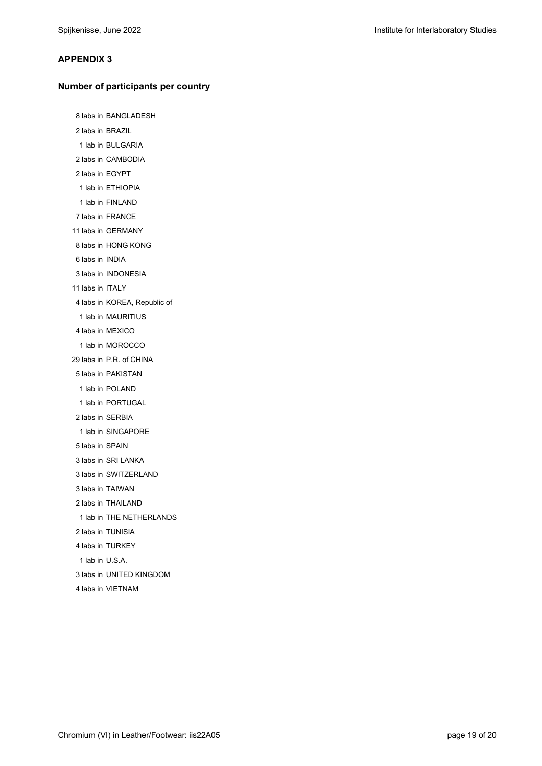#### **APPENDIX 3**

#### **Number of participants per country**

8 labs in BANGLADESH 2 labs in BRAZIL 1 lab in BULGARIA 2 labs in CAMBODIA 2 labs in EGYPT 1 lab in ETHIOPIA 1 lab in FINLAND 7 labs in FRANCE 11 labs in GERMANY 8 labs in HONG KONG 6 labs in INDIA 3 labs in INDONESIA 11 labs in ITALY 4 labs in KOREA, Republic of 1 lab in MAURITIUS 4 labs in MEXICO 1 lab in MOROCCO 29 labs in P.R. of CHINA 5 labs in PAKISTAN 1 lab in POLAND 1 lab in PORTUGAL 2 labs in SERBIA 1 lab in SINGAPORE 5 labs in SPAIN 3 labs in SRI LANKA 3 labs in SWITZERLAND 3 labs in TAIWAN 2 labs in THAILAND 1 lab in THE NETHERLANDS 2 labs in TUNISIA 4 labs in TURKEY 1 lab in U.S.A. 3 labs in UNITED KINGDOM 4 labs in VIETNAM